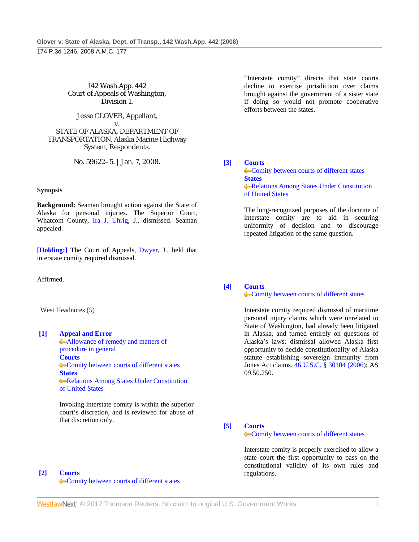142 Wash.App. 442 Court of Appeals of Washington, Division 1.

Jesse GLOVER, Appellant, v.

STATE OF ALASKA, DEPARTMENT OF TRANSPORTATION, Alaska Marine Highway System, Respondents.

No. 59622–5. | Jan. 7, 2008.

### **Synopsis**

**Background:** Seaman brought action against the State of Alaska for personal injuries. The Superior Court, Whatcom County, Ira J. Uhrig, J., dismissed. Seaman appealed.

**[Holding:]** The Court of Appeals, Dwyer, J., held that interstate comity required dismissal.

Affirmed.

West Headnotes (5)

# **[1] Appeal and Error**

Allowance of remedy and matters of procedure in general **Courts** Comity between courts of different states **States** Relations Among States Under Constitution of United States

 Invoking interstate comity is within the superior court's discretion, and is reviewed for abuse of that discretion only.

**[2] Courts** Comity between courts of different states

 "Interstate comity" directs that state courts decline to exercise jurisdiction over claims brought against the government of a sister state if doing so would not promote cooperative efforts between the states.

# **[3] Courts**

**Comity between courts of different states States Relations Among States Under Constitution** of United States

 The long-recognized purposes of the doctrine of interstate comity are to aid in securing uniformity of decision and to discourage repeated litigation of the same question.

# **[4] Courts**

**Comity between courts of different states** 

 Interstate comity required dismissal of maritime personal injury claims which were unrelated to State of Washington, had already been litigated in Alaska, and turned entirely on questions of Alaska's laws; dismissal allowed Alaska first opportunity to decide constitutionality of Alaska statute establishing sovereign immunity from Jones Act claims. 46 U.S.C. § 30104 (2006); AS 09.50.250.

**[5] Courts**

**Comity between courts of different states** 

 Interstate comity is properly exercised to allow a state court the first opportunity to pass on the constitutional validity of its own rules and regulations.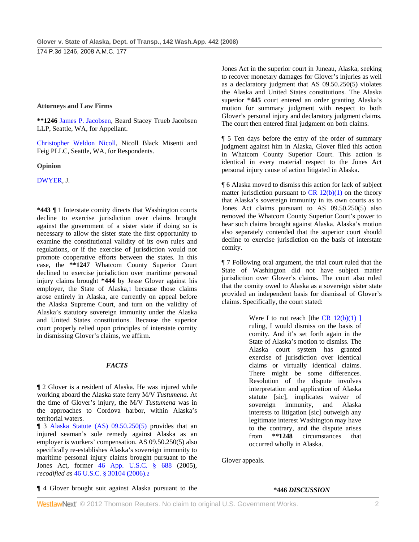174 P.3d 1246, 2008 A.M.C. 177

### **Attorneys and Law Firms**

**\*\*1246** James P. Jacobsen, Beard Stacey Trueb Jacobsen LLP, Seattle, WA, for Appellant.

Christopher Weldon Nicoll, Nicoll Black Misenti and Feig PLLC, Seattle, WA, for Respondents.

### **Opinion**

DWYER, J.

**\*443** ¶ 1 Interstate comity directs that Washington courts decline to exercise jurisdiction over claims brought against the government of a sister state if doing so is necessary to allow the sister state the first opportunity to examine the constitutional validity of its own rules and regulations, or if the exercise of jurisdiction would not promote cooperative efforts between the states. In this case, the **\*\*1247** Whatcom County Superior Court declined to exercise jurisdiction over maritime personal injury claims brought **\*444** by Jesse Glover against his employer, the State of Alaska,1 because those claims arose entirely in Alaska, are currently on appeal before the Alaska Supreme Court, and turn on the validity of Alaska's statutory sovereign immunity under the Alaska and United States constitutions. Because the superior court properly relied upon principles of interstate comity in dismissing Glover's claims, we affirm.

# *FACTS*

¶ 2 Glover is a resident of Alaska. He was injured while working aboard the Alaska state ferry M/V *Tustumena.* At the time of Glover's injury, the M/V *Tustumena* was in the approaches to Cordova harbor, within Alaska's territorial waters.

¶ 3 Alaska Statute (AS) 09.50.250(5) provides that an injured seaman's sole remedy against Alaska as an employer is workers' compensation. AS 09.50.250(5) also specifically re-establishes Alaska's sovereign immunity to maritime personal injury claims brought pursuant to the Jones Act, former 46 App. U.S.C. § 688 (2005), *recodified as* 46 U.S.C. § 30104 (2006).2

Jones Act in the superior court in Juneau, Alaska, seeking to recover monetary damages for Glover's injuries as well as a declaratory judgment that AS 09.50.250(5) violates the Alaska and United States constitutions. The Alaska superior **\*445** court entered an order granting Alaska's motion for summary judgment with respect to both Glover's personal injury and declaratory judgment claims. The court then entered final judgment on both claims.

¶ 5 Ten days before the entry of the order of summary judgment against him in Alaska, Glover filed this action in Whatcom County Superior Court. This action is identical in every material respect to the Jones Act personal injury cause of action litigated in Alaska.

¶ 6 Alaska moved to dismiss this action for lack of subject matter jurisdiction pursuant to  $CR \ 12(b)(1)$  on the theory that Alaska's sovereign immunity in its own courts as to Jones Act claims pursuant to AS 09.50.250(5) also removed the Whatcom County Superior Court's power to hear such claims brought against Alaska. Alaska's motion also separately contended that the superior court should decline to exercise jurisdiction on the basis of interstate comity.

¶ 7 Following oral argument, the trial court ruled that the State of Washington did not have subject matter jurisdiction over Glover's claims. The court also ruled that the comity owed to Alaska as a sovereign sister state provided an independent basis for dismissal of Glover's claims. Specifically, the court stated:

> Were I to not reach [the  $CR$  12(b)(1) ] ruling, I would dismiss on the basis of comity. And it's set forth again in the State of Alaska's motion to dismiss. The Alaska court system has granted exercise of jurisdiction over identical claims or virtually identical claims. There might be some differences. Resolution of the dispute involves interpretation and application of Alaska statute [sic], implicates waiver of sovereign immunity, and Alaska interests to litigation [sic] outweigh any legitimate interest Washington may have to the contrary, and the dispute arises from **\*\*1248** circumstances that occurred wholly in Alaska.

Glover appeals.

### ¶ 4 Glover brought suit against Alaska pursuant to the

### **\*446** *DISCUSSION*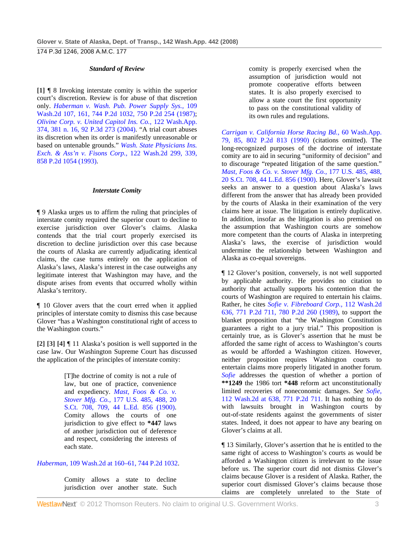#### *Standard of Review*

**[1]** ¶ 8 Invoking interstate comity is within the superior court's discretion. Review is for abuse of that discretion only. *Haberman v. Wash. Pub. Power Supply Sys.,* 109 Wash.2d 107, 161, 744 P.2d 1032, 750 P.2d 254 (1987); *Olivine Corp. v. United Capitol Ins. Co.,* 122 Wash.App. 374, 381 n. 16, 92 P.3d 273 (2004). "A trial court abuses its discretion when its order is manifestly unreasonable or based on untenable grounds." *Wash. State Physicians Ins. Exch. & Ass'n v. Fisons Corp.,* 122 Wash.2d 299, 339, 858 P.2d 1054 (1993).

#### *Interstate Comity*

¶ 9 Alaska urges us to affirm the ruling that principles of interstate comity required the superior court to decline to exercise jurisdiction over Glover's claims. Alaska contends that the trial court properly exercised its discretion to decline jurisdiction over this case because the courts of Alaska are currently adjudicating identical claims, the case turns entirely on the application of Alaska's laws, Alaska's interest in the case outweighs any legitimate interest that Washington may have, and the dispute arises from events that occurred wholly within Alaska's territory.

¶ 10 Glover avers that the court erred when it applied principles of interstate comity to dismiss this case because Glover "has a Washington constitutional right of access to the Washington courts."

**[2] [3] [4]** ¶ 11 Alaska's position is well supported in the case law. Our Washington Supreme Court has discussed the application of the principles of interstate comity:

> [T]he doctrine of comity is not a rule of law, but one of practice, convenience and expediency. *Mast, Foos & Co. v. Stover Mfg. Co.,* 177 U.S. 485, 488, 20 S.Ct. 708, 709, 44 L.Ed. 856 (1900). Comity allows the courts of one jurisdiction to give effect to **\*447** laws of another jurisdiction out of deference and respect, considering the interests of each state.

### *Haberman,* 109 Wash.2d at 160–61, 744 P.2d 1032.

Comity allows a state to decline jurisdiction over another state. Such comity is properly exercised when the assumption of jurisdiction would not promote cooperative efforts between states. It is also properly exercised to allow a state court the first opportunity to pass on the constitutional validity of its own rules and regulations.

*Carrigan v. California Horse Racing Bd.,* 60 Wash.App. 79, 85, 802 P.2d 813 (1990) (citations omitted). The long-recognized purposes of the doctrine of interstate comity are to aid in securing "uniformity of decision" and to discourage "repeated litigation of the same question." *Mast, Foos & Co. v. Stover Mfg. Co.,* 177 U.S. 485, 488, 20 S.Ct. 708, 44 L.Ed. 856 (1900). Here, Glover's lawsuit seeks an answer to a question about Alaska's laws different from the answer that has already been provided by the courts of Alaska in their examination of the very claims here at issue. The litigation is entirely duplicative. In addition, insofar as the litigation is also premised on the assumption that Washington courts are somehow more competent than the courts of Alaska in interpreting Alaska's laws, the exercise of jurisdiction would undermine the relationship between Washington and Alaska as co-equal sovereigns.

¶ 12 Glover's position, conversely, is not well supported by applicable authority. He provides no citation to authority that actually supports his contention that the courts of Washington are required to entertain his claims. Rather, he cites *Sofie v. Fibreboard Corp.,* 112 Wash.2d 636, 771 P.2d 711, 780 P.2d 260 (1989), to support the blanket proposition that "the Washington Constitution guarantees a right to a jury trial." This proposition is certainly true, as is Glover's assertion that he must be afforded the same right of access to Washington's courts as would be afforded a Washington citizen. However, neither proposition requires Washington courts to entertain claims more properly litigated in another forum. *Sofie* addresses the question of whether a portion of **\*\*1249** the 1986 tort **\*448** reform act unconstitutionally limited recoveries of noneconomic damages. *See Sofie,* 112 Wash.2d at 638, 771 P.2d 711. It has nothing to do with lawsuits brought in Washington courts by out-of-state residents against the governments of sister states. Indeed, it does not appear to have any bearing on Glover's claims at all.

¶ 13 Similarly, Glover's assertion that he is entitled to the same right of access to Washington's courts as would be afforded a Washington citizen is irrelevant to the issue before us. The superior court did not dismiss Glover's claims because Glover is a resident of Alaska. Rather, the superior court dismissed Glover's claims because those claims are completely unrelated to the State of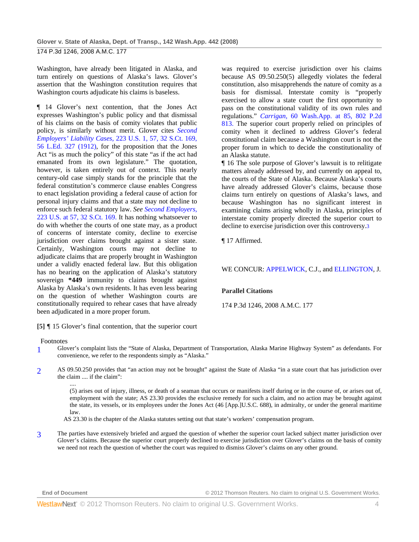174 P.3d 1246, 2008 A.M.C. 177

Washington, have already been litigated in Alaska, and turn entirely on questions of Alaska's laws. Glover's assertion that the Washington constitution requires that Washington courts adjudicate his claims is baseless.

¶ 14 Glover's next contention, that the Jones Act expresses Washington's public policy and that dismissal of his claims on the basis of comity violates that public policy, is similarly without merit. Glover cites *Second Employers' Liability Cases,* 223 U.S. 1, 57, 32 S.Ct. 169, 56 L.Ed. 327 (1912), for the proposition that the Jones Act "is as much the policy" of this state "as if the act had emanated from its own legislature." The quotation, however, is taken entirely out of context. This nearly century-old case simply stands for the principle that the federal constitution's commerce clause enables Congress to enact legislation providing a federal cause of action for personal injury claims and that a state may not decline to enforce such federal statutory law. *See Second Employers,* 223 U.S. at 57, 32 S.Ct. 169. It has nothing whatsoever to do with whether the courts of one state may, as a product of concerns of interstate comity, decline to exercise jurisdiction over claims brought against a sister state. Certainly, Washington courts may not decline to adjudicate claims that are properly brought in Washington under a validly enacted federal law. But this obligation has no bearing on the application of Alaska's statutory sovereign **\*449** immunity to claims brought against Alaska by Alaska's own residents. It has even less bearing on the question of whether Washington courts are constitutionally required to rehear cases that have already been adjudicated in a more proper forum.

**[5]** ¶ 15 Glover's final contention, that the superior court

### Footnotes

- 1 Glover's complaint lists the "State of Alaska, Department of Transportation, Alaska Marine Highway System" as defendants. For convenience, we refer to the respondents simply as "Alaska."
- 2 AS 09.50.250 provides that "an action may not be brought" against the State of Alaska "in a state court that has jurisdiction over the claim .... if the claim":

.... (5) arises out of injury, illness, or death of a seaman that occurs or manifests itself during or in the course of, or arises out of, employment with the state; AS 23.30 provides the exclusive remedy for such a claim, and no action may be brought against the state, its vessels, or its employees under the Jones Act (46 [App.]U.S.C. 688), in admiralty, or under the general maritime law.

AS 23.30 is the chapter of the Alaska statutes setting out that state's workers' compensation program.

3 The parties have extensively briefed and argued the question of whether the superior court lacked subject matter jurisdiction over Glover's claims. Because the superior court properly declined to exercise jurisdiction over Glover's claims on the basis of comity we need not reach the question of whether the court was required to dismiss Glover's claims on any other ground.

was required to exercise jurisdiction over his claims because AS 09.50.250(5) allegedly violates the federal constitution, also misapprehends the nature of comity as a basis for dismissal. Interstate comity is "properly exercised to allow a state court the first opportunity to pass on the constitutional validity of its own rules and regulations." *Carrigan,* 60 Wash.App. at 85, 802 P.2d 813. The superior court properly relied on principles of comity when it declined to address Glover's federal constitutional claim because a Washington court is not the proper forum in which to decide the constitutionality of an Alaska statute.

¶ 16 The sole purpose of Glover's lawsuit is to relitigate matters already addressed by, and currently on appeal to, the courts of the State of Alaska. Because Alaska's courts have already addressed Glover's claims, because those claims turn entirely on questions of Alaska's laws, and because Washington has no significant interest in examining claims arising wholly in Alaska, principles of interstate comity properly directed the superior court to decline to exercise jurisdiction over this controversy.3

¶ 17 Affirmed.

### WE CONCUR: APPELWICK, C.J., and ELLINGTON, J.

# **Parallel Citations**

174 P.3d 1246, 2008 A.M.C. 177